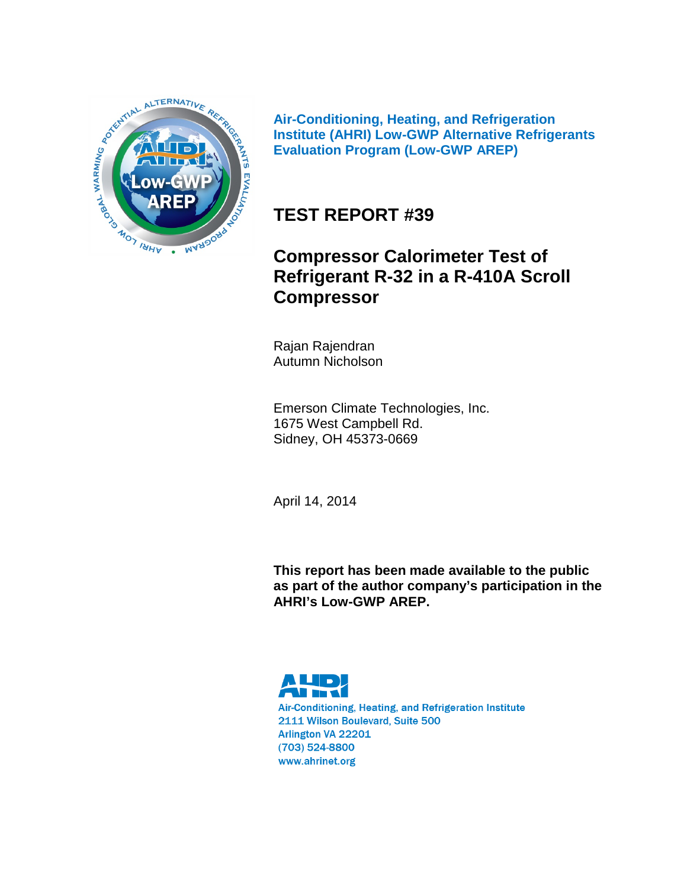

**Air-Conditioning, Heating, and Refrigeration Institute (AHRI) Low-GWP Alternative Refrigerants Evaluation Program (Low-GWP AREP)**

# **TEST REPORT #39**

# **Compressor Calorimeter Test of Refrigerant R-32 in a R-410A Scroll Compressor**

Rajan Rajendran Autumn Nicholson

Emerson Climate Technologies, Inc. 1675 West Campbell Rd. Sidney, OH 45373-0669

April 14, 2014

**This report has been made available to the public as part of the author company's participation in the AHRI's Low-GWP AREP.**

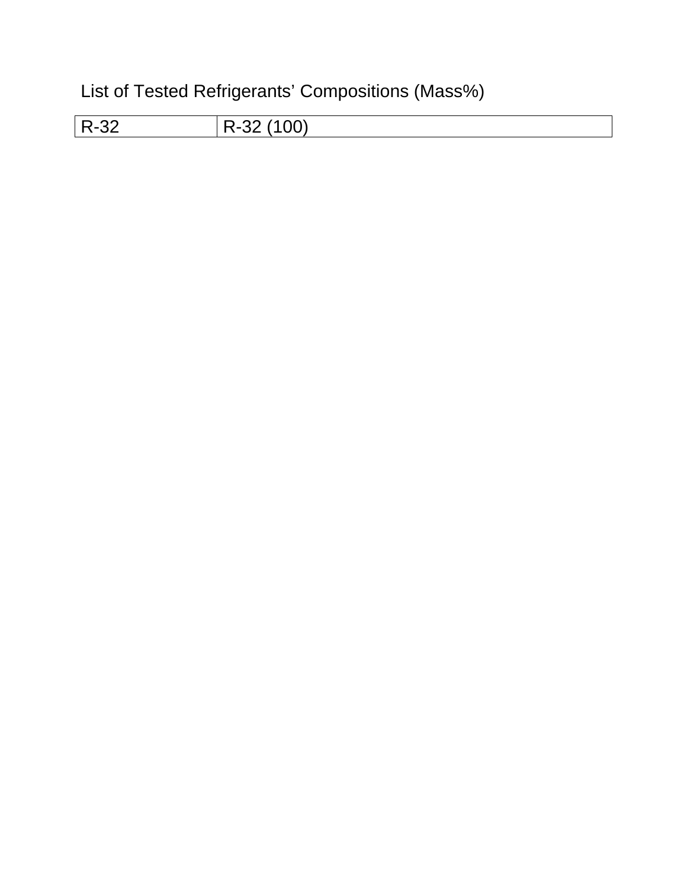List of Tested Refrigerants' Compositions (Mass%)

| R-32<br>◡▃ | ົດດ<br>D. |
|------------|-----------|
|            |           |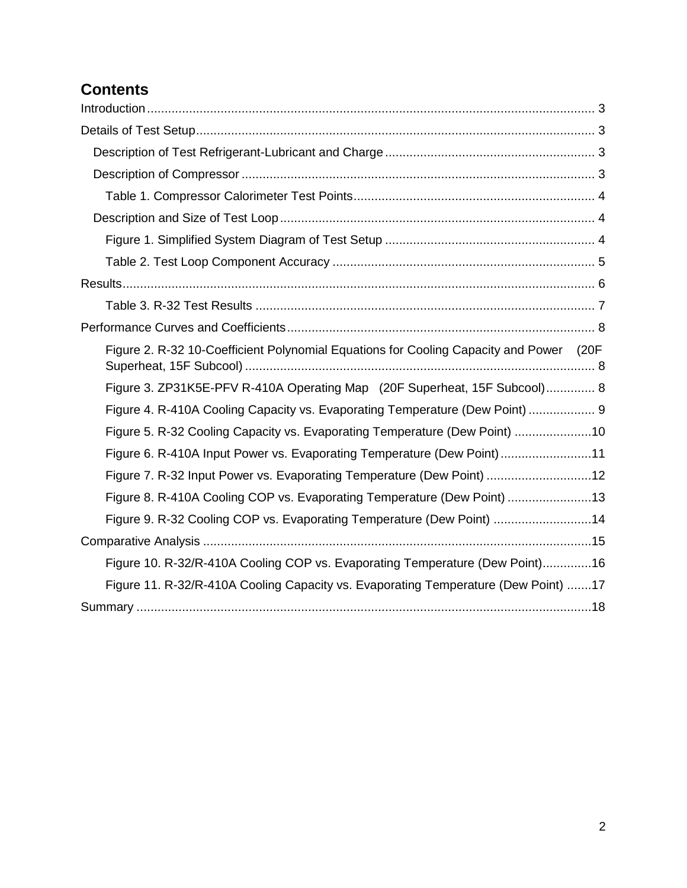## **Contents**

| Figure 2. R-32 10-Coefficient Polynomial Equations for Cooling Capacity and Power (20F |  |
|----------------------------------------------------------------------------------------|--|
| Figure 3. ZP31K5E-PFV R-410A Operating Map (20F Superheat, 15F Subcool) 8              |  |
| Figure 4. R-410A Cooling Capacity vs. Evaporating Temperature (Dew Point)  9           |  |
| Figure 5. R-32 Cooling Capacity vs. Evaporating Temperature (Dew Point) 10             |  |
| Figure 6. R-410A Input Power vs. Evaporating Temperature (Dew Point)11                 |  |
| Figure 7. R-32 Input Power vs. Evaporating Temperature (Dew Point) 12                  |  |
| Figure 8. R-410A Cooling COP vs. Evaporating Temperature (Dew Point) 13                |  |
| Figure 9. R-32 Cooling COP vs. Evaporating Temperature (Dew Point) 14                  |  |
|                                                                                        |  |
| Figure 10. R-32/R-410A Cooling COP vs. Evaporating Temperature (Dew Point)16           |  |
| Figure 11. R-32/R-410A Cooling Capacity vs. Evaporating Temperature (Dew Point) 17     |  |
|                                                                                        |  |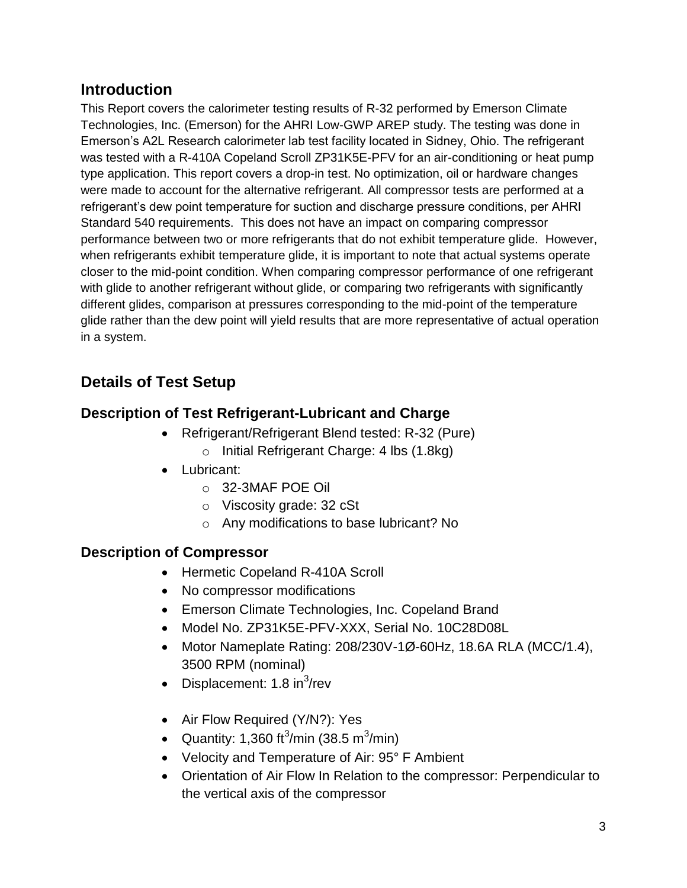### <span id="page-3-0"></span>**Introduction**

This Report covers the calorimeter testing results of R-32 performed by Emerson Climate Technologies, Inc. (Emerson) for the AHRI Low-GWP AREP study. The testing was done in Emerson's A2L Research calorimeter lab test facility located in Sidney, Ohio. The refrigerant was tested with a R-410A Copeland Scroll ZP31K5E-PFV for an air-conditioning or heat pump type application. This report covers a drop-in test. No optimization, oil or hardware changes were made to account for the alternative refrigerant. All compressor tests are performed at a refrigerant's dew point temperature for suction and discharge pressure conditions, per AHRI Standard 540 requirements. This does not have an impact on comparing compressor performance between two or more refrigerants that do not exhibit temperature glide. However, when refrigerants exhibit temperature glide, it is important to note that actual systems operate closer to the mid-point condition. When comparing compressor performance of one refrigerant with glide to another refrigerant without glide, or comparing two refrigerants with significantly different glides, comparison at pressures corresponding to the mid-point of the temperature glide rather than the dew point will yield results that are more representative of actual operation in a system.

## <span id="page-3-1"></span>**Details of Test Setup**

### <span id="page-3-2"></span>**Description of Test Refrigerant-Lubricant and Charge**

- Refrigerant/Refrigerant Blend tested: R-32 (Pure)
	- o Initial Refrigerant Charge: 4 lbs (1.8kg)
- Lubricant:
	- o 32-3MAF POE Oil
	- o Viscosity grade: 32 cSt
	- o Any modifications to base lubricant? No

#### <span id="page-3-3"></span>**Description of Compressor**

- Hermetic Copeland R-410A Scroll
- No compressor modifications
- Emerson Climate Technologies, Inc. Copeland Brand
- Model No. ZP31K5E-PFV-XXX, Serial No. 10C28D08L
- $\bullet$  Motor Nameplate Rating: 208/230V-1Ø-60Hz, 18.6A RLA (MCC/1.4), 3500 RPM (nominal)
- Displacement: 1.8 in $3$ /rev
- Air Flow Required (Y/N?): Yes
- Quantity: 1,360 ft<sup>3</sup>/min (38.5 m<sup>3</sup>/min)
- Velocity and Temperature of Air: 95° F Ambient
- Orientation of Air Flow In Relation to the compressor: Perpendicular to the vertical axis of the compressor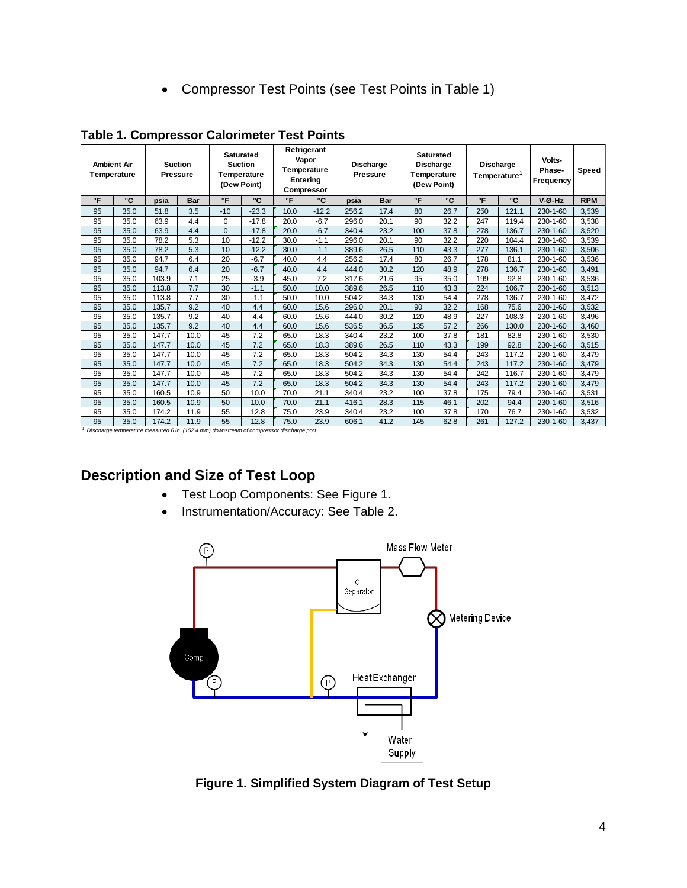Compressor Test Points (see Test Points in Table 1)

|              | <b>Ambient Air</b><br>Temperature | <b>Pressure</b> | <b>Suction</b> |              | <b>Saturated</b><br><b>Suction</b><br>Temperature<br>(Dew Point) | Temperature | Refrigerant<br>Vapor<br>Entering<br>Compressor | Discharge<br><b>Pressure</b> |            |              | <b>Saturated</b><br>Discharge<br>Temperature<br>(Dew Point) |     | Volts-<br><b>Discharge</b><br>Phase-<br>Temperature <sup>1</sup><br>Frequency |          | Speed      |
|--------------|-----------------------------------|-----------------|----------------|--------------|------------------------------------------------------------------|-------------|------------------------------------------------|------------------------------|------------|--------------|-------------------------------------------------------------|-----|-------------------------------------------------------------------------------|----------|------------|
| $\mathsf{P}$ | °C                                | psia            | <b>Bar</b>     | $\mathsf{P}$ | °C                                                               | °F          | °C                                             | psia                         | <b>Bar</b> | $\mathsf{P}$ | °C                                                          | °F  | °C                                                                            | V-Ø-Hz   | <b>RPM</b> |
| 95           | 35.0                              | 51.8            | 3.5            | $-10$        | $-23.3$                                                          | 10.0        | $-12.2$                                        | 256.2                        | 17.4       | 80           | 26.7                                                        | 250 | 121.1                                                                         | 230-1-60 | 3,539      |
| 95           | 35.0                              | 63.9            | 4.4            | $\Omega$     | $-17.8$                                                          | 20.0        | $-6.7$                                         | 296.0                        | 20.1       | 90           | 32.2                                                        | 247 | 119.4                                                                         | 230-1-60 | 3,538      |
| 95           | 35.0                              | 63.9            | 4.4            | $\Omega$     | $-17.8$                                                          | 20.0        | $-6.7$                                         | 340.4                        | 23.2       | 100          | 37.8                                                        | 278 | 136.7                                                                         | 230-1-60 | 3.520      |
| 95           | 35.0                              | 78.2            | 5.3            | 10           | $-12.2$                                                          | 30.0        | $-1.1$                                         | 296.0                        | 20.1       | 90           | 32.2                                                        | 220 | 104.4                                                                         | 230-1-60 | 3,539      |
| 95           | 35.0                              | 78.2            | 5.3            | 10           | $-12.2$                                                          | 30.0        | $-1.1$                                         | 389.6                        | 26.5       | 110          | 43.3                                                        | 277 | 136.1                                                                         | 230-1-60 | 3,506      |
| 95           | 35.0                              | 94.7            | 6.4            | 20           | $-6.7$                                                           | 40.0        | 4.4                                            | 256.2                        | 17.4       | 80           | 26.7                                                        | 178 | 81.1                                                                          | 230-1-60 | 3,536      |
| 95           | 35.0                              | 94.7            | 6.4            | 20           | $-6.7$                                                           | 40.0        | 4.4                                            | 444.0                        | 30.2       | 120          | 48.9                                                        | 278 | 136.7                                                                         | 230-1-60 | 3,491      |
| 95           | 35.0                              | 103.9           | 7.1            | 25           | $-3.9$                                                           | 45.0        | 7.2                                            | 317.6                        | 21.6       | 95           | 35.0                                                        | 199 | 92.8                                                                          | 230-1-60 | 3,536      |
| 95           | 35.0                              | 113.8           | 7.7            | 30           | $-1.1$                                                           | 50.0        | 10.0                                           | 389.6                        | 26.5       | 110          | 43.3                                                        | 224 | 106.7                                                                         | 230-1-60 | 3,513      |
| 95           | 35.0                              | 113.8           | 7.7            | 30           | $-1.1$                                                           | 50.0        | 10.0                                           | 504.2                        | 34.3       | 130          | 54.4                                                        | 278 | 136.7                                                                         | 230-1-60 | 3,472      |
| 95           | 35.0                              | 135.7           | 9.2            | 40           | 4.4                                                              | 60.0        | 15.6                                           | 296.0                        | 20.1       | 90           | 32.2                                                        | 168 | 75.6                                                                          | 230-1-60 | 3,532      |
| 95           | 35.0                              | 135.7           | 9.2            | 40           | 4.4                                                              | 60.0        | 15.6                                           | 444.0                        | 30.2       | 120          | 48.9                                                        | 227 | 108.3                                                                         | 230-1-60 | 3,496      |
| 95           | 35.0                              | 135.7           | 9.2            | 40           | 4.4                                                              | 60.0        | 15.6                                           | 536.5                        | 36.5       | 135          | 57.2                                                        | 266 | 130.0                                                                         | 230-1-60 | 3,460      |
| 95           | 35.0                              | 147.7           | 10.0           | 45           | 7.2                                                              | 65.0        | 18.3                                           | 340.4                        | 23.2       | 100          | 37.8                                                        | 181 | 82.8                                                                          | 230-1-60 | 3,530      |
| 95           | 35.0                              | 147.7           | 10.0           | 45           | 7.2                                                              | 65.0        | 18.3                                           | 389.6                        | 26.5       | 110          | 43.3                                                        | 199 | 92.8                                                                          | 230-1-60 | 3,515      |
| 95           | 35.0                              | 147.7           | 10.0           | 45           | 7.2                                                              | 65.0        | 18.3                                           | 504.2                        | 34.3       | 130          | 54.4                                                        | 243 | 117.2                                                                         | 230-1-60 | 3,479      |
| 95           | 35.0                              | 147.7           | 10.0           | 45           | 7.2                                                              | 65.0        | 18.3                                           | 504.2                        | 34.3       | 130          | 54.4                                                        | 243 | 117.2                                                                         | 230-1-60 | 3,479      |
| 95           | 35.0                              | 147.7           | 10.0           | 45           | 7.2                                                              | 65.0        | 18.3                                           | 504.2                        | 34.3       | 130          | 54.4                                                        | 242 | 116.7                                                                         | 230-1-60 | 3,479      |
| 95           | 35.0                              | 147.7           | 10.0           | 45           | 7.2                                                              | 65.0        | 18.3                                           | 504.2                        | 34.3       | 130          | 54.4                                                        | 243 | 117.2                                                                         | 230-1-60 | 3,479      |
| 95           | 35.0                              | 160.5           | 10.9           | 50           | 10.0                                                             | 70.0        | 21.1                                           | 340.4                        | 23.2       | 100          | 37.8                                                        | 175 | 79.4                                                                          | 230-1-60 | 3,531      |
| 95           | 35.0                              | 160.5           | 10.9           | 50           | 10.0                                                             | 70.0        | 21.1                                           | 416.1                        | 28.3       | 115          | 46.1                                                        | 202 | 94.4                                                                          | 230-1-60 | 3,516      |
| 95           | 35.0                              | 174.2           | 11.9           | 55           | 12.8                                                             | 75.0        | 23.9                                           | 340.4                        | 23.2       | 100          | 37.8                                                        | 170 | 76.7                                                                          | 230-1-60 | 3,532      |
| 95           | 35.0                              | 174.2           | 11.9           | 55           | 12.8                                                             | 75.0        | 23.9                                           | 606.1                        | 41.2       | 145          | 62.8                                                        | 261 | 127.2                                                                         | 230-1-60 | 3,437      |

<span id="page-4-0"></span>**Table 1. Compressor Calorimeter Test Points**

#### <span id="page-4-1"></span>**Description and Size of Test Loop**

- Test Loop Components: See Figure 1.
- Instrumentation/Accuracy: See Table 2.



<span id="page-4-2"></span>**Figure 1. Simplified System Diagram of Test Setup**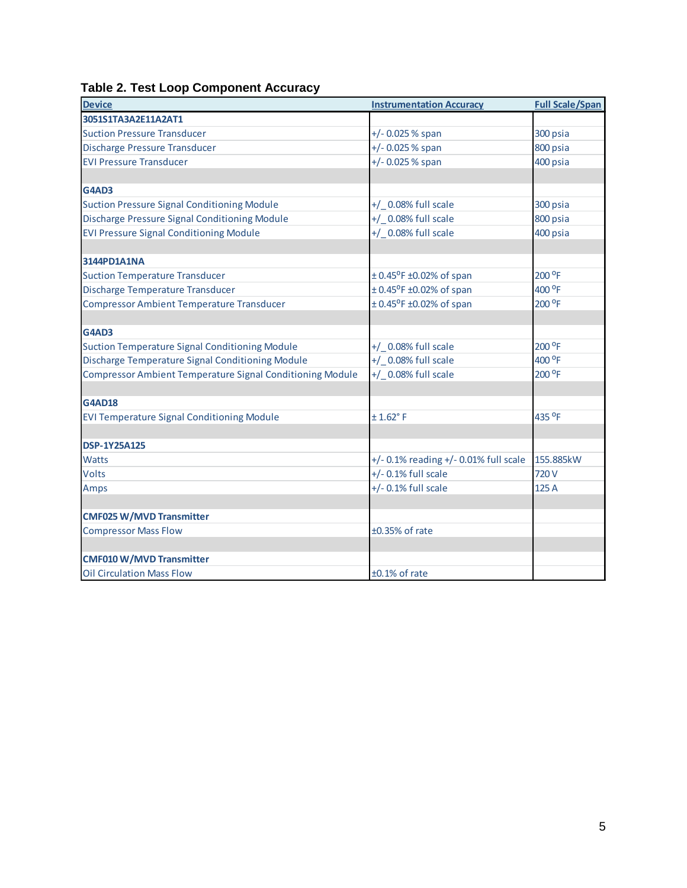## <span id="page-5-0"></span>**Table 2. Test Loop Component Accuracy**

| <b>Device</b>                                                    | <b>Instrumentation Accuracy</b>               | <b>Full Scale/Span</b> |
|------------------------------------------------------------------|-----------------------------------------------|------------------------|
| 3051S1TA3A2E11A2AT1                                              |                                               |                        |
| <b>Suction Pressure Transducer</b>                               | +/- 0.025 % span                              | 300 psia               |
| Discharge Pressure Transducer                                    | +/- 0.025 % span                              | 800 psia               |
| <b>EVI Pressure Transducer</b>                                   | +/- 0.025 % span                              | 400 psia               |
|                                                                  |                                               |                        |
| <b>G4AD3</b>                                                     |                                               |                        |
| <b>Suction Pressure Signal Conditioning Module</b>               | +/ 0.08% full scale                           | 300 psia               |
| Discharge Pressure Signal Conditioning Module                    | +/ 0.08% full scale                           | 800 psia               |
| <b>EVI Pressure Signal Conditioning Module</b>                   | +/ _0.08% full scale                          | 400 psia               |
|                                                                  |                                               |                        |
| 3144PD1A1NA                                                      |                                               |                        |
| <b>Suction Temperature Transducer</b>                            | $± 0.45^{\circ}$ F ±0.02% of span             | 200 °F                 |
| Discharge Temperature Transducer                                 | $\pm$ 0.45 <sup>o</sup> F $\pm$ 0.02% of span | 400 °F                 |
| <b>Compressor Ambient Temperature Transducer</b>                 | $\pm$ 0.45 <sup>o</sup> F $\pm$ 0.02% of span | 200 <sup>o</sup> F     |
|                                                                  |                                               |                        |
| <b>G4AD3</b>                                                     |                                               |                        |
| <b>Suction Temperature Signal Conditioning Module</b>            | +/ _0.08% full scale                          | 200 °F                 |
| Discharge Temperature Signal Conditioning Module                 | +/ 0.08% full scale                           | 400 °F                 |
| <b>Compressor Ambient Temperature Signal Conditioning Module</b> | +/ 0.08% full scale                           | 200 °F                 |
|                                                                  |                                               |                        |
| <b>G4AD18</b>                                                    |                                               |                        |
| <b>EVI Temperature Signal Conditioning Module</b>                | $± 1.62°$ F                                   | 435 °F                 |
|                                                                  |                                               |                        |
| <b>DSP-1Y25A125</b>                                              |                                               |                        |
| <b>Watts</b>                                                     | $+/- 0.1\%$ reading $+/- 0.01\%$ full scale   | 155.885kW              |
| <b>Volts</b>                                                     | $+/-$ 0.1% full scale                         | 720 V                  |
| Amps                                                             | $+/-$ 0.1% full scale                         | 125 A                  |
|                                                                  |                                               |                        |
| <b>CMF025 W/MVD Transmitter</b>                                  |                                               |                        |
| <b>Compressor Mass Flow</b>                                      | ±0.35% of rate                                |                        |
|                                                                  |                                               |                        |
| <b>CMF010 W/MVD Transmitter</b>                                  |                                               |                        |
| <b>Oil Circulation Mass Flow</b>                                 | $±0.1\%$ of rate                              |                        |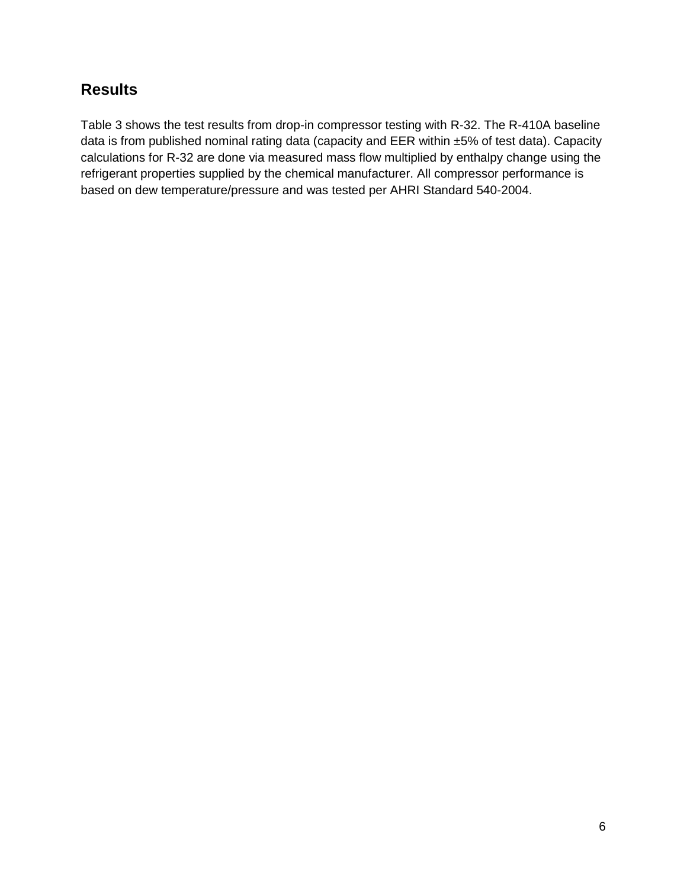## <span id="page-6-0"></span>**Results**

Table 3 shows the test results from drop-in compressor testing with R-32. The R-410A baseline data is from published nominal rating data (capacity and EER within ±5% of test data). Capacity calculations for R-32 are done via measured mass flow multiplied by enthalpy change using the refrigerant properties supplied by the chemical manufacturer. All compressor performance is based on dew temperature/pressure and was tested per AHRI Standard 540-2004.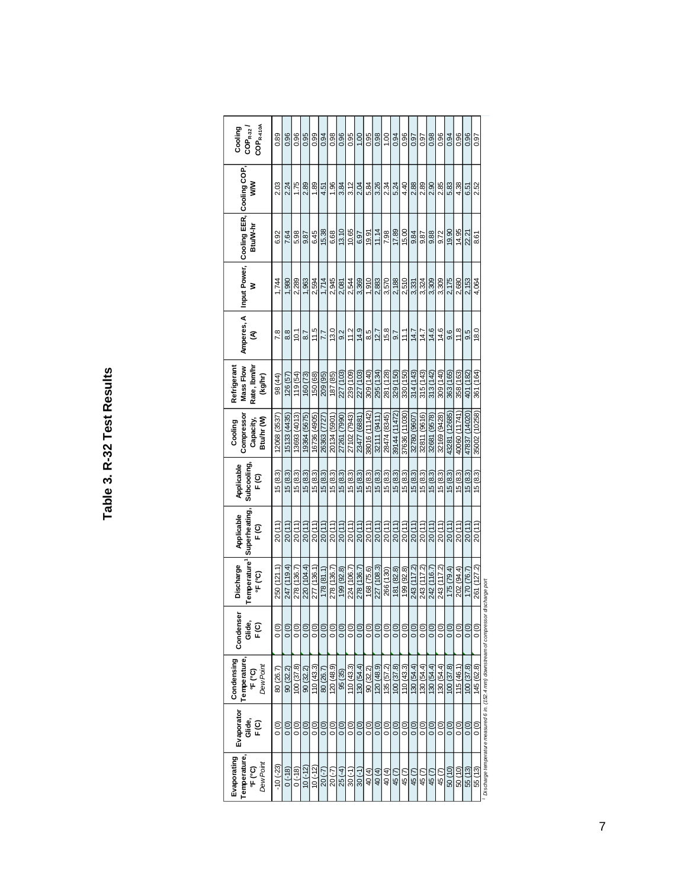| ı            |
|--------------|
|              |
| ĵ            |
| ı            |
|              |
| ì            |
|              |
| r<br>֡֡֡֡֡֡֡ |
| ¢            |
|              |
|              |
|              |
|              |
|              |

| <b>Temperature</b><br>Dew Point | Condenser<br>Glide,<br>F(C) | Temperature <sup>1</sup><br>Discharge<br>$\overline{F}$ (°C) | Superheating,<br>Applicable<br>∈<br>⊳ | Applicable<br>Subcooling,<br>F(G) | Compresso<br>Btuhr <sub>(W)</sub><br>Capacity,<br>Cooling | Mass Flow<br>Rate, Ibm/h<br>Refrigerant<br>(kg/hr) | Amperes, A<br>₹ | ℥     | Btu/W-hr | Input Power, Cooling EER, Cooling COP,<br>⋚ | $\text{COP}_{\text{R-410A}}$<br>$\frac{1}{2}$ Cooling |
|---------------------------------|-----------------------------|--------------------------------------------------------------|---------------------------------------|-----------------------------------|-----------------------------------------------------------|----------------------------------------------------|-----------------|-------|----------|---------------------------------------------|-------------------------------------------------------|
| $\frac{0}{0}$                   |                             | 250 (121.1)                                                  | 20(11)                                | 15(8.3)                           | 12068 (3537                                               | 98 (44)                                            | 7.8             | 1,744 | 6.92     | 2.03                                        | 0.89                                                  |
| $\overline{0}$                  |                             | 247 (119.4)                                                  | 20(11)                                | 15(8.3)                           | 15133 (4435)                                              | 126 (57)                                           | 8.8             | 1,980 | 7.64     | 2.24                                        | 0.96                                                  |
| $\frac{0}{0}$                   |                             | 278 (136.7)                                                  | 20(11)                                | 15(8.3)                           | 13693 (4013)                                              | 119 (54)                                           | 10.1            | 2,289 | 5.98     | 1.75                                        | 0.96                                                  |
| 0(0)                            |                             | 220 (104.4)                                                  | 20(11)                                | 15(8.3)                           | 19364 (5675)                                              | 160 (73)                                           | 8.7             | 1,963 | 9.87     | 2.89                                        | 0.95                                                  |
| $\frac{0}{0}$                   |                             | 277 (136.1)                                                  | 20(11)                                | 15(8.3)                           | 16736 (4905)                                              | 150 (68)                                           | 11.5            | 2,594 | 6.45     | <b>89</b>                                   | 0.99                                                  |
| $\overline{0}$                  |                             | 178(81.1)                                                    | 20(11)                                | 15(8.3)                           | 26363 (7727                                               | 209 (95)                                           | 7.7             | 1,714 | 15.38    | 4.51                                        | 0.94                                                  |
| $\frac{0}{0}$                   |                             | 278 (136.7)                                                  | 20(11)                                | 15(8.3)                           | 20134 (5901)                                              | 187 (85)                                           | 13.0            | 2,945 | 6.68     | 1.96                                        | 0.98                                                  |
| $\overline{0}$                  |                             | 199 (92.8)                                                   | 20(11)                                | 15(8.3)                           | 27261 (7990)                                              | 227 (103)                                          | 9.2             | 2,081 | 13.10    | 3.84                                        | 0.96                                                  |
| $\frac{0}{0}$                   |                             | 224 (106.7)                                                  | 20(11)                                | 15(8.3)                           | 27102 (7943)                                              | 239 (109)                                          | 11.2            | 2,544 | 10.65    | 3.12                                        | 0.95                                                  |
| $\overline{0}$                  |                             | 278 (136.7)                                                  | 20(11)                                | 15(8.3)                           | 23477 (6881                                               | 227 (103)                                          | 14.9            | 3,369 | 6.97     | 2.04                                        | 00.1                                                  |
| 0(0)                            |                             | 168 (75.6)                                                   | 20(11)                                | 15(8.3)                           | 38016 (11142)                                             | 309 (140)                                          | 8.5             | 1,910 | 19.91    | 5.84                                        | 0.95                                                  |
| $\overline{0}$                  |                             | 227 (108.3)                                                  | 20(11)                                | 15(8.3)                           | 32111 (9411                                               | 295 (134)                                          | 12.7            | 2,883 | 11.14    | 3.26                                        | 0.98                                                  |
| $\frac{1}{2}$                   |                             | 266 (130)                                                    | 20(11)                                | 15(8.3)                           | 28474 (8345)                                              | 281 (128)                                          | 15.8            | 3,570 | 7.98     | 2.34                                        | 00.1                                                  |
| $\overline{0}$                  |                             | 181 (82.8)                                                   | 20(11)                                | 15(8.3)                           | 39144 (11472)                                             | 329 (150)                                          | 9.7             | 2,188 | 17.89    | 5.24                                        | 0.94                                                  |
| $\frac{1}{2}$                   |                             | 199 (92.8)                                                   | 20(11)                                | 15(8.3)                           | 37636 (11030)                                             | 330 (150)                                          | 11.1            | 2,510 | 15.00    | 4.40                                        | 0.96                                                  |
| $\overline{0}$                  |                             | 243 (117.2)                                                  | 20(11)                                | 15(8.3)                           | 32780 (9607)                                              | 314 (143)                                          | 14.7            | 3,331 | 9.84     | 2.88                                        | 0.97                                                  |
| $\frac{1}{2}$                   |                             | 243 (117.2)                                                  | 20(11)                                | 15(8.3)                           | 32811 (9616)                                              | 315 (143)                                          | 14.7            | 3,324 | 9.87     | 2.89                                        | 0.97                                                  |
| $\overline{0}$                  |                             | 242 (116.7)                                                  | 20(11)                                | 15(8.3)                           | 32681 (9578)                                              | 313 (142)                                          | 14.6            | 3,309 | 9.88     | 2.90                                        | 0.98                                                  |
| $\frac{0}{0}$                   |                             | 243 (117.2)                                                  | 20(11)                                | 15(8.3)                           | 32169 (9428)                                              | 309 (140)                                          | 14.6            | 3,309 | 9.72     | 2.85                                        | 0.96                                                  |
| 0(0)                            |                             | 175 (79.4)                                                   | 20(11)                                | 15(8.3)                           | 43281 (12685)                                             | 363 (165)                                          | 9.6             | 2,175 | 19.90    | 5.83                                        | 0.94                                                  |
| $\frac{0}{0}$                   |                             | 202 (94.4)                                                   | 20(11)                                | 15(8.3)                           | 40060 (11741)                                             | 358 (163)                                          | 11.8            | 2,680 | 14.95    | 4.38                                        | 0.96                                                  |
| 0(0)                            |                             | 170 (76.7)                                                   | 20(11)                                | 15(8.3)                           | 47837 (14020)                                             | 401 (182)                                          | 9.5             | 2,153 | 22.21    | 6.51                                        | 0.96                                                  |
| $\frac{1}{2}$                   |                             | 261 (127.2)                                                  | 20(11)                                | 15(8.3)                           | 35002 (10258)                                             | 361 (164)                                          | 18.0            | 4.064 | 8.61     | 2.52                                        | 0.97                                                  |

*Discharge temperature measured 6 in. (152.4 mm) downstream of compressor discharge port*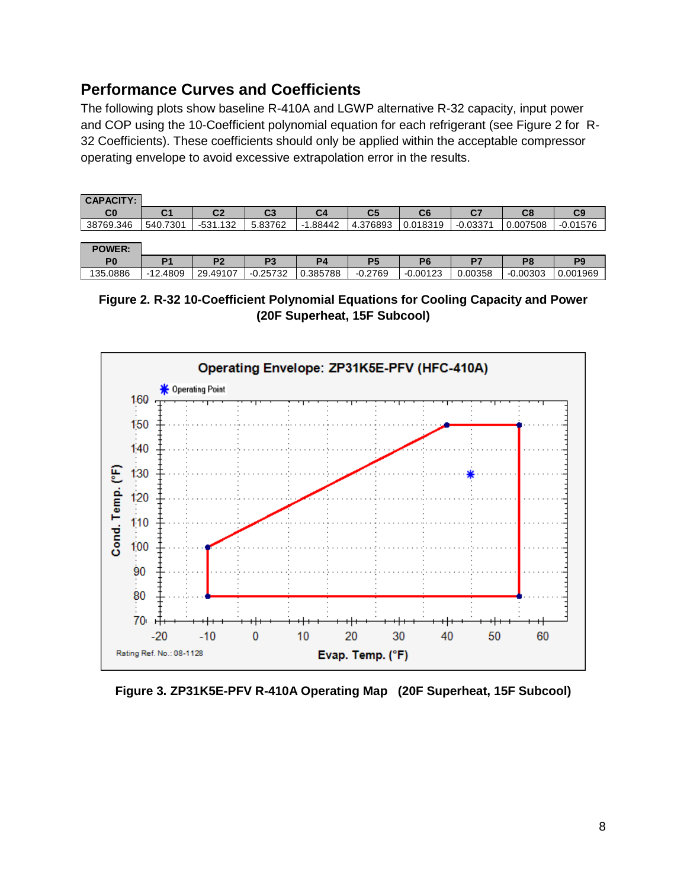## <span id="page-8-0"></span>**Performance Curves and Coefficients**

The following plots show baseline R-410A and LGWP alternative R-32 capacity, input power and COP using the 10-Coefficient polynomial equation for each refrigerant (see Figure 2 for R-32 Coefficients). These coefficients should only be applied within the acceptable compressor operating envelope to avoid excessive extrapolation error in the results.

| <b>CAPACITY:</b> |          |                |         |            |                |          |            |          |            |
|------------------|----------|----------------|---------|------------|----------------|----------|------------|----------|------------|
| C0               | C1       | C <sub>2</sub> | C3      | C4         | C <sub>5</sub> | C6       | C7         | C8       | C9         |
| 38769.346        | 540.7301 | $-531.132$     | 5.83762 | $-1.88442$ | 4.376893       | 0.018319 | $-0.03371$ | 0.007508 | $-0.01576$ |
|                  |          |                |         |            |                |          |            |          |            |
| <b>POWER:</b>    |          |                |         |            |                |          |            |          |            |

| P <sub>0</sub> |                                 | DC.<br>-              | m.               |          | D.        |                             | D.                                | Ρ٤            | nл           |
|----------------|---------------------------------|-----------------------|------------------|----------|-----------|-----------------------------|-----------------------------------|---------------|--------------|
| .0886<br>135   | 4809<br>$\sqrt{2}$<br>$-1$<br>_ | .49107<br>つの<br>. ت ک | ---<br>-⊍.∠573∠- | 1.385788 | $-0.2769$ | $0.0012$ <sup>~</sup><br>-1 | 00358<br>$\overline{\phantom{0}}$ | .00303<br>-11 | 001،<br>1969 |
|                |                                 |                       |                  |          |           |                             |                                   |               |              |

<span id="page-8-1"></span>**Figure 2. R-32 10-Coefficient Polynomial Equations for Cooling Capacity and Power (20F Superheat, 15F Subcool)**



<span id="page-8-2"></span>**Figure 3. ZP31K5E-PFV R-410A Operating Map (20F Superheat, 15F Subcool)**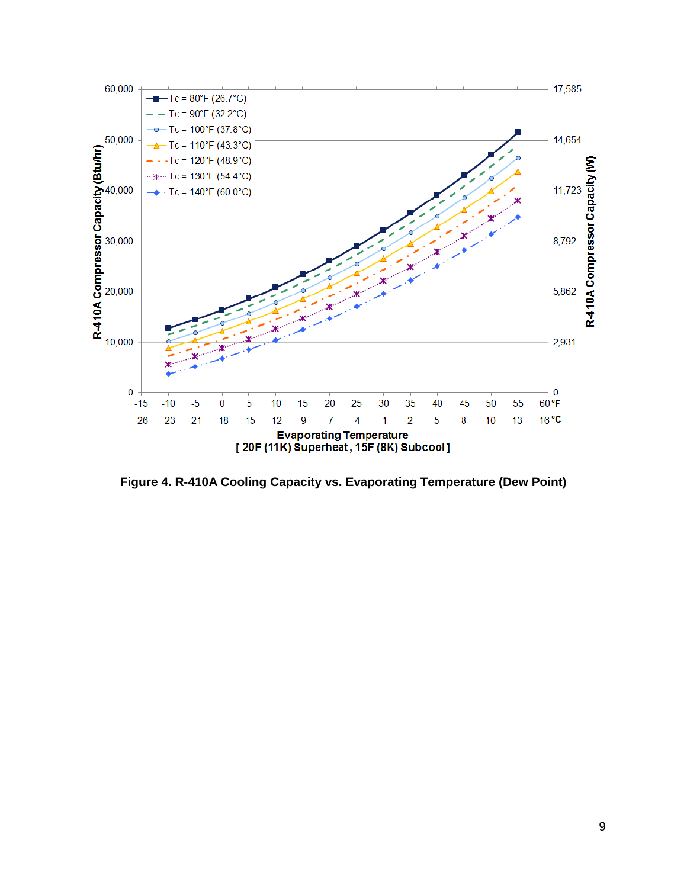

<span id="page-9-0"></span>**Figure 4. R-410A Cooling Capacity vs. Evaporating Temperature (Dew Point)**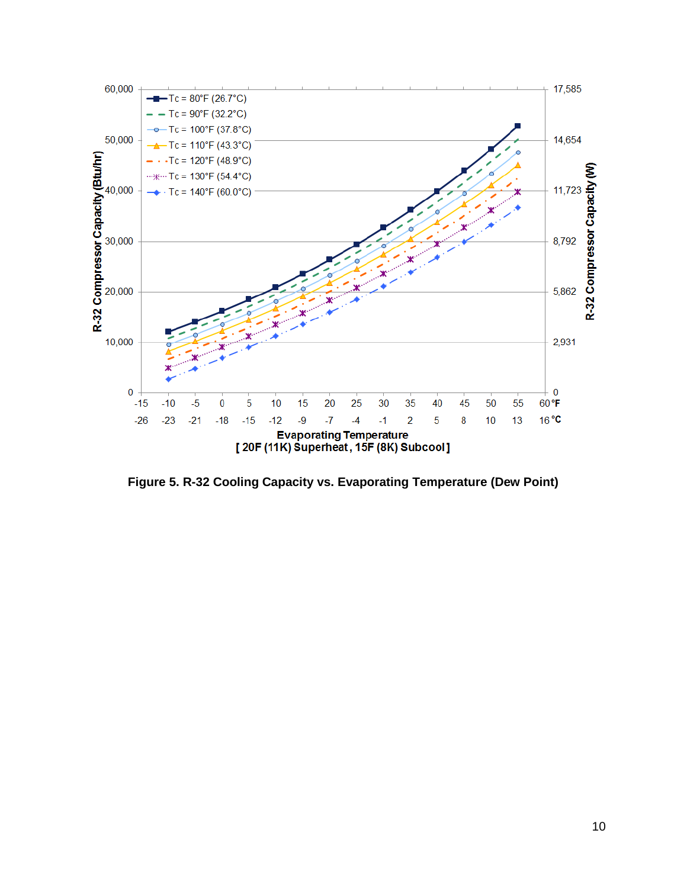

<span id="page-10-0"></span>**Figure 5. R-32 Cooling Capacity vs. Evaporating Temperature (Dew Point)**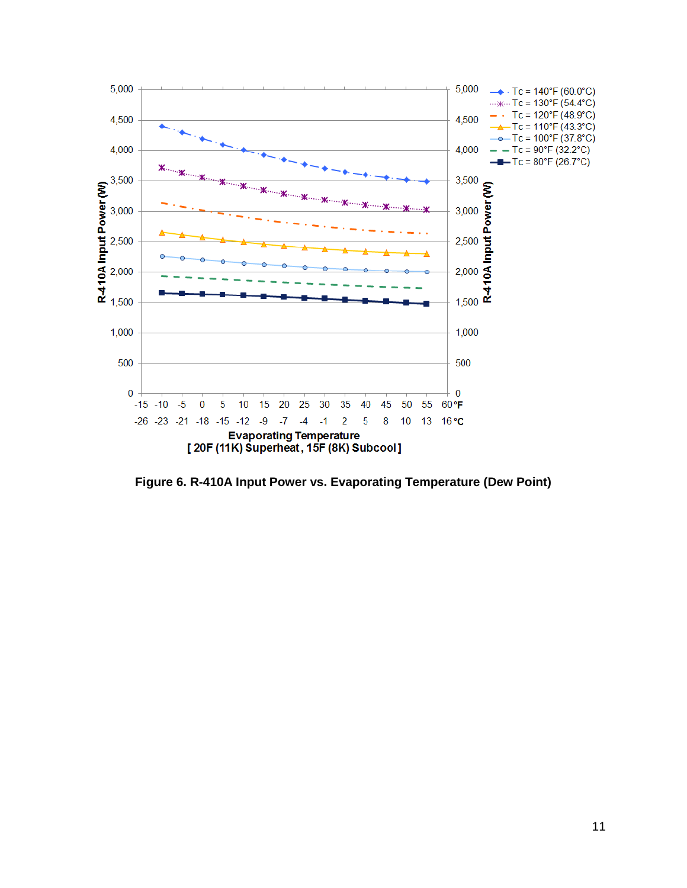

<span id="page-11-0"></span>**Figure 6. R-410A Input Power vs. Evaporating Temperature (Dew Point)**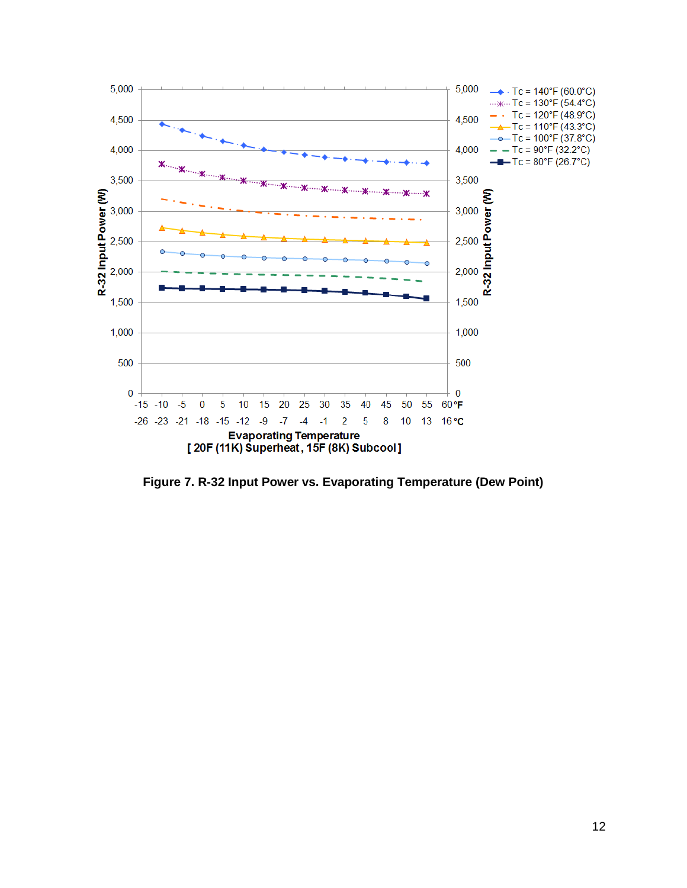

<span id="page-12-0"></span>**Figure 7. R-32 Input Power vs. Evaporating Temperature (Dew Point)**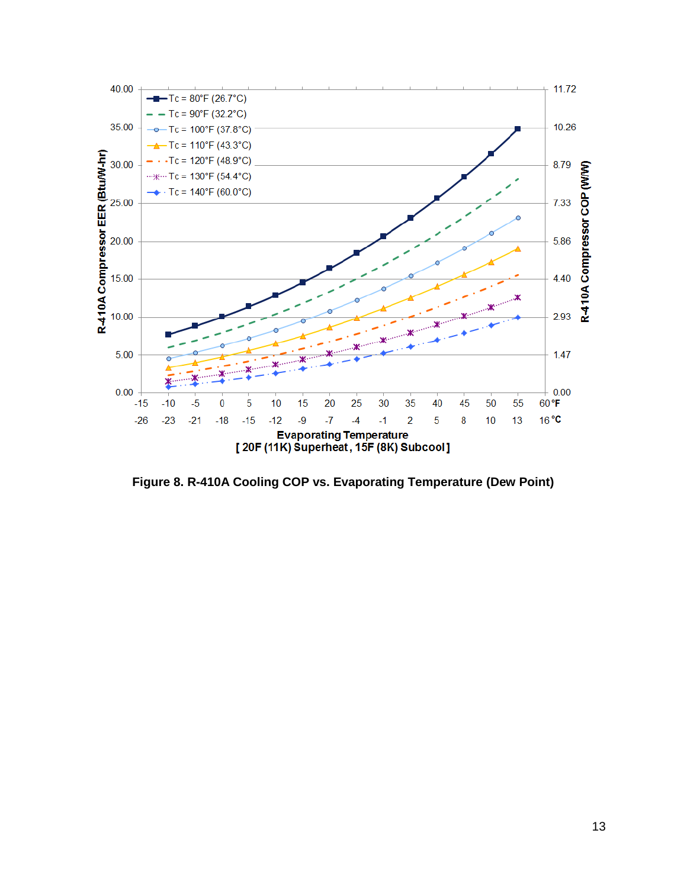

<span id="page-13-0"></span>**Figure 8. R-410A Cooling COP vs. Evaporating Temperature (Dew Point)**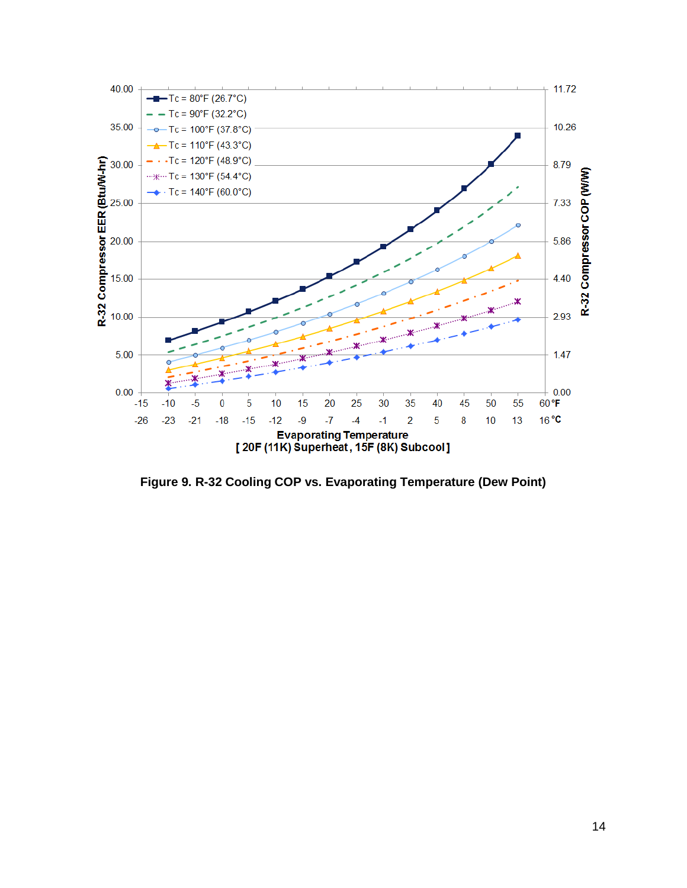

<span id="page-14-0"></span>**Figure 9. R-32 Cooling COP vs. Evaporating Temperature (Dew Point)**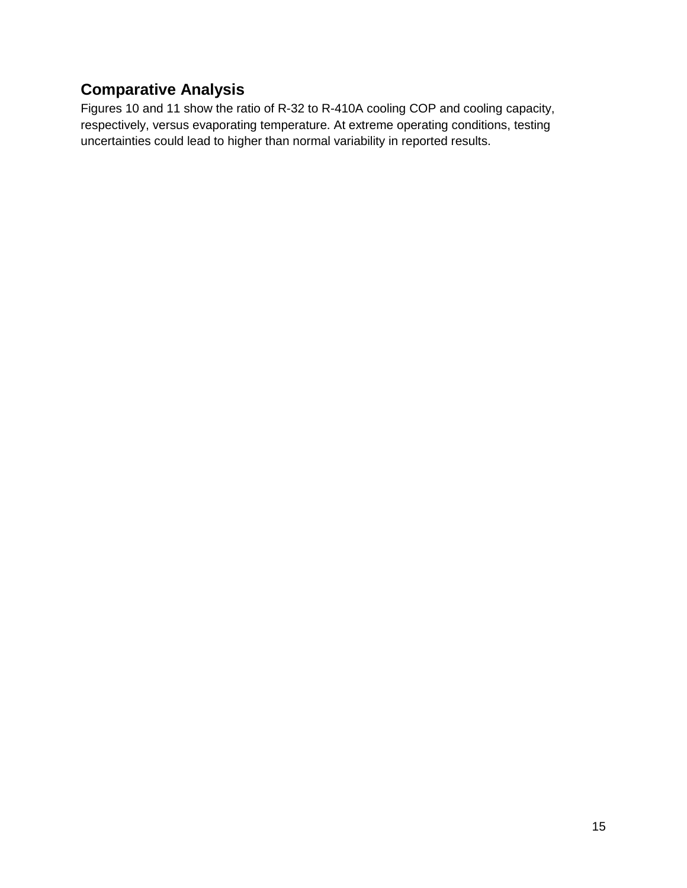# <span id="page-15-0"></span>**Comparative Analysis**

Figures 10 and 11 show the ratio of R-32 to R-410A cooling COP and cooling capacity, respectively, versus evaporating temperature. At extreme operating conditions, testing uncertainties could lead to higher than normal variability in reported results.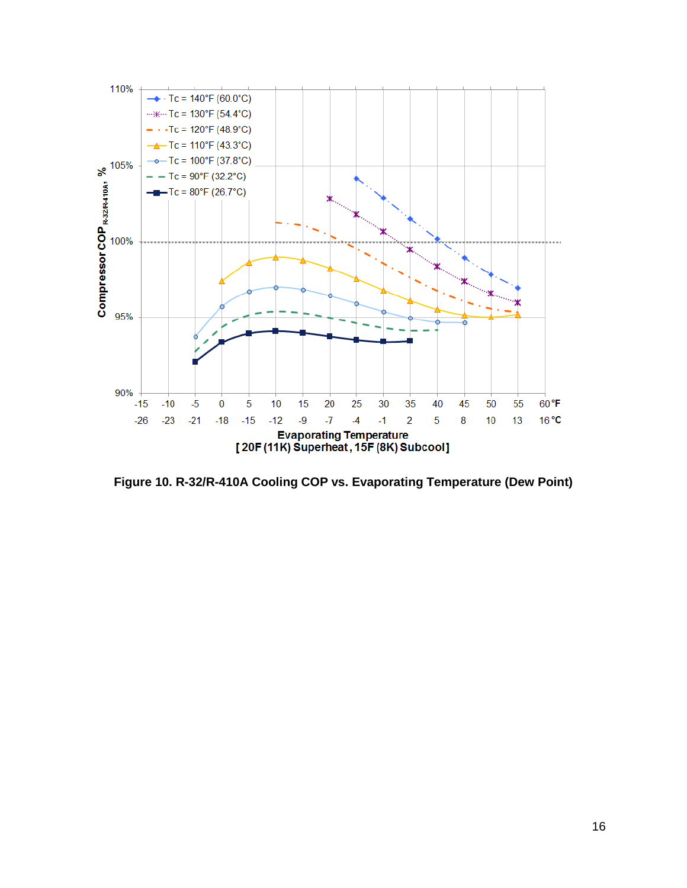

<span id="page-16-0"></span>**Figure 10. R-32/R-410A Cooling COP vs. Evaporating Temperature (Dew Point)**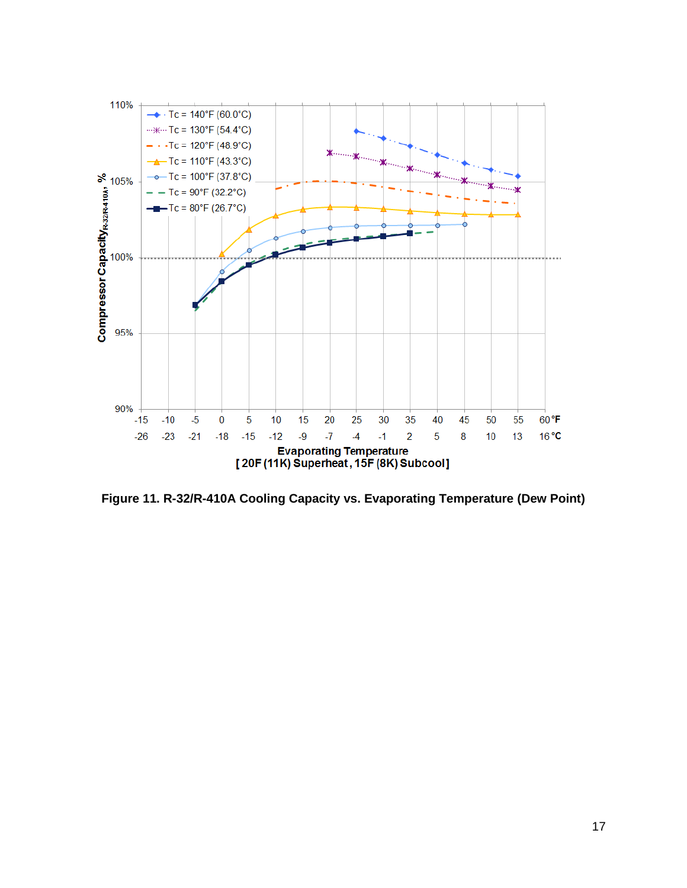

<span id="page-17-0"></span>**Figure 11. R-32/R-410A Cooling Capacity vs. Evaporating Temperature (Dew Point)**